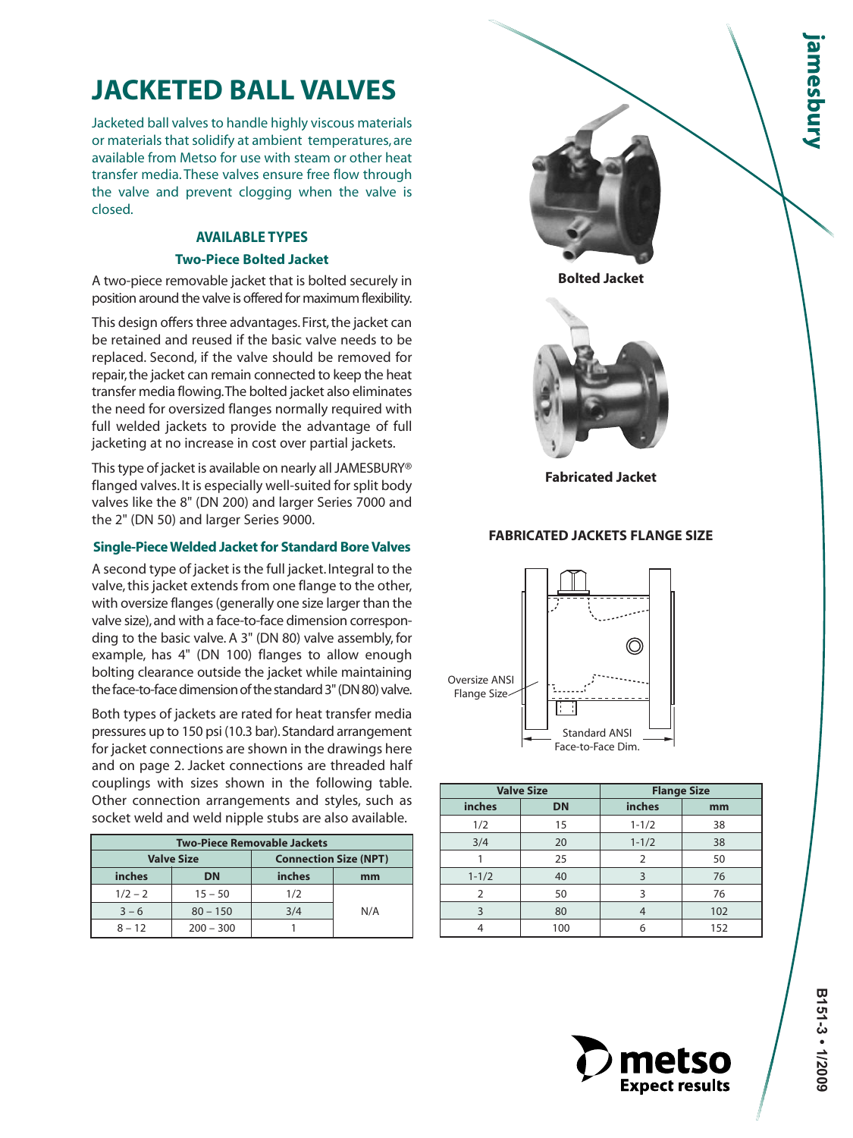# **JACKETED BALL VALVES**

Jacketed ball valves to handle highly viscous materials or materials that solidify at ambient temperatures, are available from Metso for use with steam or other heat transfer media. These valves ensure free flow through the valve and prevent clogging when the valve is closed.

# **AVAILABLE TYPES Two-Piece Bolted Jacket**

A two-piece removable jacket that is bolted securely in position around the valve is offered for maximum flexibility.

This design offers three advantages. First, the jacket can be retained and reused if the basic valve needs to be replaced. Second, if the valve should be removed for repair, the jacket can remain connected to keep the heat transfer media flowing.The bolted jacket also eliminates the need for oversized flanges normally required with full welded jackets to provide the advantage of full jacketing at no increase in cost over partial jackets.

This type of jacket is available on nearly all JAMESBURY® flanged valves. It is especially well-suited for split body valves like the 8" (DN 200) and larger Series 7000 and the 2" (DN 50) and larger Series 9000.

### **Single-Piece Welded Jacket for Standard Bore Valves**

A second type of jacket is the full jacket. Integral to the valve, this jacket extends from one flange to the other, with oversize flanges (generally one size larger than the valve size), and with a face-to-face dimension corresponding to the basic valve. A 3" (DN 80) valve assembly, for example, has 4" (DN 100) flanges to allow enough bolting clearance outside the jacket while maintaining the face-to-face dimension of the standard 3" (DN 80) valve.

Both types of jackets are rated for heat transfer media pressures up to 150 psi (10.3 bar). Standard arrangement for jacket connections are shown in the drawings here and on page 2. Jacket connections are threaded half couplings with sizes shown in the following table. Other connection arrangements and styles, such as socket weld and weld nipple stubs are also available.

| <b>Two-Piece Removable Jackets</b> |                   |                              |     |  |  |  |  |  |  |
|------------------------------------|-------------------|------------------------------|-----|--|--|--|--|--|--|
|                                    | <b>Valve Size</b> | <b>Connection Size (NPT)</b> |     |  |  |  |  |  |  |
| inches                             | <b>DN</b>         | inches                       | mm  |  |  |  |  |  |  |
| $1/2 - 2$                          | $15 - 50$         | 1/2                          |     |  |  |  |  |  |  |
| $3 - 6$                            | $80 - 150$        | 3/4                          | N/A |  |  |  |  |  |  |
| $8 - 12$                           | $200 - 300$       |                              |     |  |  |  |  |  |  |